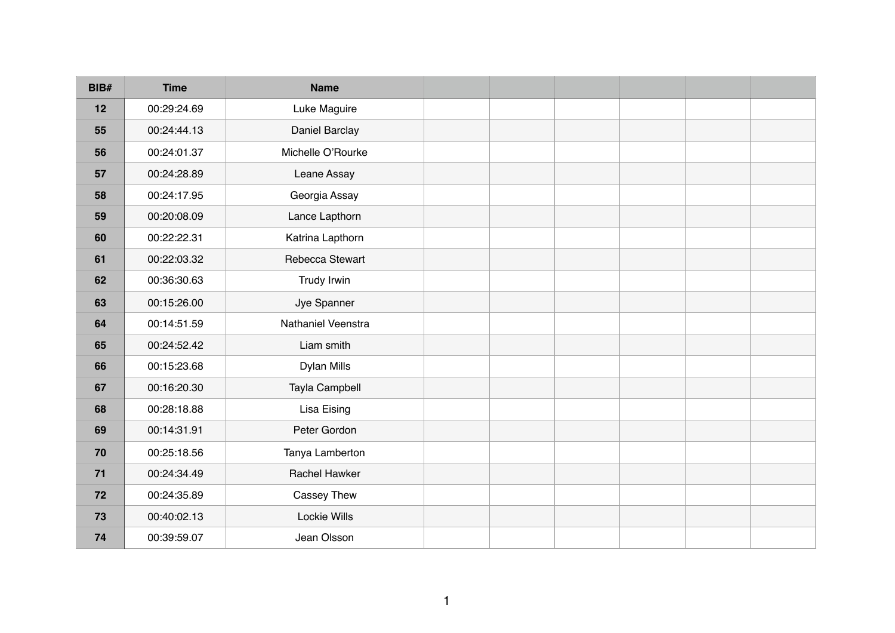| BIB# | <b>Time</b> | <b>Name</b>        |  |  |  |
|------|-------------|--------------------|--|--|--|
| 12   | 00:29:24.69 | Luke Maguire       |  |  |  |
| 55   | 00:24:44.13 | Daniel Barclay     |  |  |  |
| 56   | 00:24:01.37 | Michelle O'Rourke  |  |  |  |
| 57   | 00:24:28.89 | Leane Assay        |  |  |  |
| 58   | 00:24:17.95 | Georgia Assay      |  |  |  |
| 59   | 00:20:08.09 | Lance Lapthorn     |  |  |  |
| 60   | 00:22:22.31 | Katrina Lapthorn   |  |  |  |
| 61   | 00:22:03.32 | Rebecca Stewart    |  |  |  |
| 62   | 00:36:30.63 | Trudy Irwin        |  |  |  |
| 63   | 00:15:26.00 | Jye Spanner        |  |  |  |
| 64   | 00:14:51.59 | Nathaniel Veenstra |  |  |  |
| 65   | 00:24:52.42 | Liam smith         |  |  |  |
| 66   | 00:15:23.68 | <b>Dylan Mills</b> |  |  |  |
| 67   | 00:16:20.30 | Tayla Campbell     |  |  |  |
| 68   | 00:28:18.88 | <b>Lisa Eising</b> |  |  |  |
| 69   | 00:14:31.91 | Peter Gordon       |  |  |  |
| 70   | 00:25:18.56 | Tanya Lamberton    |  |  |  |
| $71$ | 00:24:34.49 | Rachel Hawker      |  |  |  |
| 72   | 00:24:35.89 | Cassey Thew        |  |  |  |
| 73   | 00:40:02.13 | Lockie Wills       |  |  |  |
| 74   | 00:39:59.07 | Jean Olsson        |  |  |  |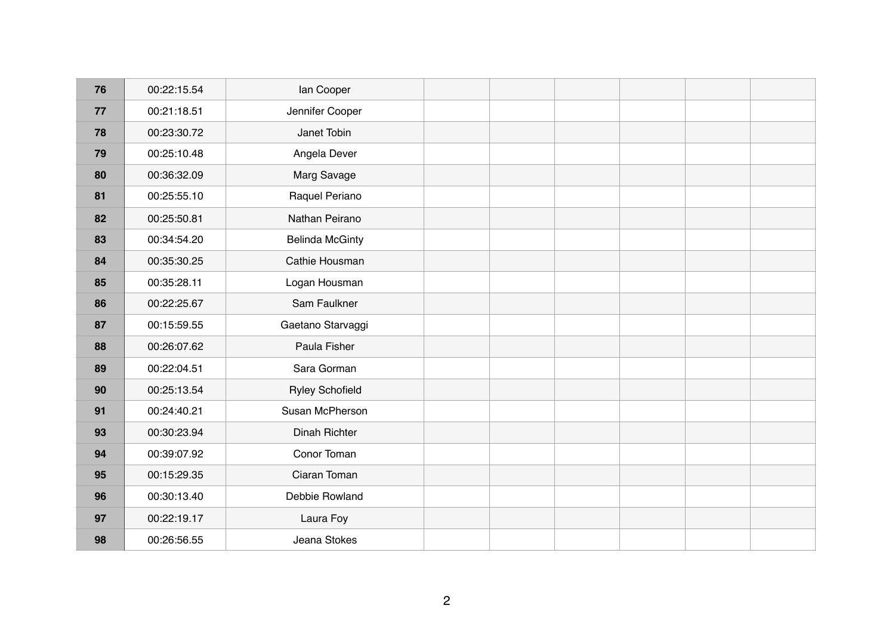| 76 | 00:22:15.54 | lan Cooper             |  |  |  |
|----|-------------|------------------------|--|--|--|
| 77 | 00:21:18.51 | Jennifer Cooper        |  |  |  |
| 78 | 00:23:30.72 | Janet Tobin            |  |  |  |
| 79 | 00:25:10.48 | Angela Dever           |  |  |  |
| 80 | 00:36:32.09 | Marg Savage            |  |  |  |
| 81 | 00:25:55.10 | Raquel Periano         |  |  |  |
| 82 | 00:25:50.81 | Nathan Peirano         |  |  |  |
| 83 | 00:34:54.20 | <b>Belinda McGinty</b> |  |  |  |
| 84 | 00:35:30.25 | Cathie Housman         |  |  |  |
| 85 | 00:35:28.11 | Logan Housman          |  |  |  |
| 86 | 00:22:25.67 | Sam Faulkner           |  |  |  |
| 87 | 00:15:59.55 | Gaetano Starvaggi      |  |  |  |
| 88 | 00:26:07.62 | Paula Fisher           |  |  |  |
| 89 | 00:22:04.51 | Sara Gorman            |  |  |  |
| 90 | 00:25:13.54 | <b>Ryley Schofield</b> |  |  |  |
| 91 | 00:24:40.21 | Susan McPherson        |  |  |  |
| 93 | 00:30:23.94 | Dinah Richter          |  |  |  |
| 94 | 00:39:07.92 | Conor Toman            |  |  |  |
| 95 | 00:15:29.35 | Ciaran Toman           |  |  |  |
| 96 | 00:30:13.40 | Debbie Rowland         |  |  |  |
| 97 | 00:22:19.17 | Laura Foy              |  |  |  |
| 98 | 00:26:56.55 | Jeana Stokes           |  |  |  |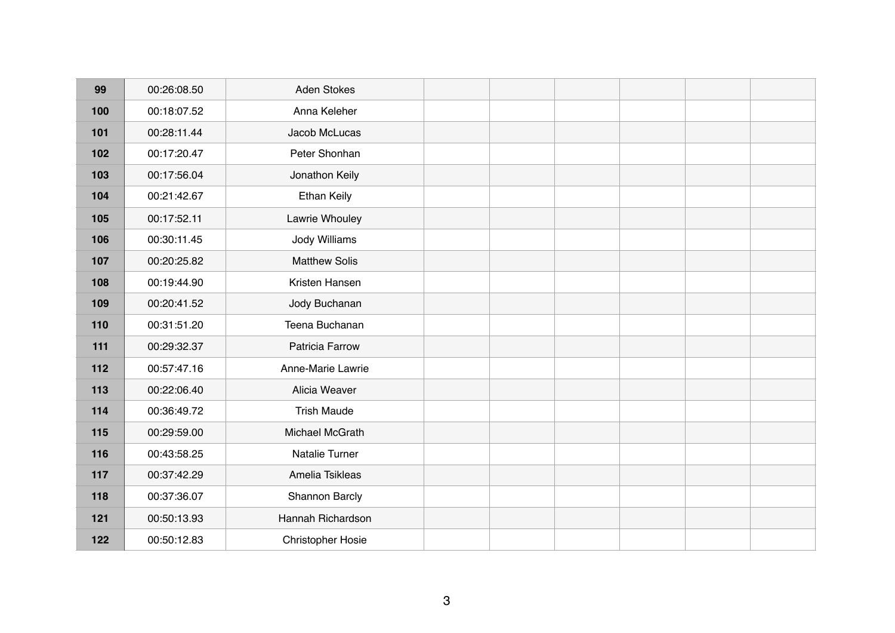| 00:26:08.50 | <b>Aden Stokes</b>       |  |  |  |
|-------------|--------------------------|--|--|--|
| 00:18:07.52 | Anna Keleher             |  |  |  |
| 00:28:11.44 | Jacob McLucas            |  |  |  |
| 00:17:20.47 | Peter Shonhan            |  |  |  |
| 00:17:56.04 | Jonathon Keily           |  |  |  |
| 00:21:42.67 | <b>Ethan Keily</b>       |  |  |  |
| 00:17:52.11 | Lawrie Whouley           |  |  |  |
| 00:30:11.45 | <b>Jody Williams</b>     |  |  |  |
| 00:20:25.82 | <b>Matthew Solis</b>     |  |  |  |
| 00:19:44.90 | Kristen Hansen           |  |  |  |
| 00:20:41.52 | Jody Buchanan            |  |  |  |
| 00:31:51.20 | Teena Buchanan           |  |  |  |
| 00:29:32.37 | Patricia Farrow          |  |  |  |
| 00:57:47.16 | Anne-Marie Lawrie        |  |  |  |
| 00:22:06.40 | Alicia Weaver            |  |  |  |
| 00:36:49.72 | <b>Trish Maude</b>       |  |  |  |
| 00:29:59.00 | Michael McGrath          |  |  |  |
| 00:43:58.25 | Natalie Turner           |  |  |  |
| 00:37:42.29 | Amelia Tsikleas          |  |  |  |
| 00:37:36.07 | Shannon Barcly           |  |  |  |
| 00:50:13.93 | Hannah Richardson        |  |  |  |
| 00:50:12.83 | <b>Christopher Hosie</b> |  |  |  |
|             |                          |  |  |  |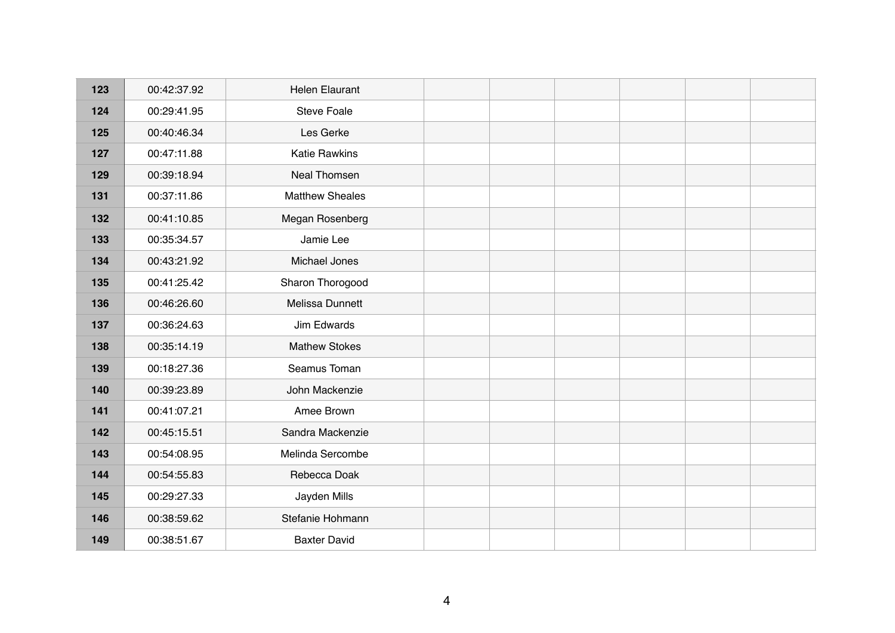| 00:42:37.92<br>00:29:41.95<br>00:40:46.34<br>00:47:11.88<br>00:39:18.94 | <b>Helen Elaurant</b><br><b>Steve Foale</b><br>Les Gerke<br><b>Katie Rawkins</b> |  |  |  |
|-------------------------------------------------------------------------|----------------------------------------------------------------------------------|--|--|--|
|                                                                         |                                                                                  |  |  |  |
|                                                                         |                                                                                  |  |  |  |
|                                                                         |                                                                                  |  |  |  |
|                                                                         |                                                                                  |  |  |  |
|                                                                         | Neal Thomsen                                                                     |  |  |  |
|                                                                         | <b>Matthew Sheales</b>                                                           |  |  |  |
| 00:41:10.85                                                             | Megan Rosenberg                                                                  |  |  |  |
| 00:35:34.57                                                             | Jamie Lee                                                                        |  |  |  |
| 00:43:21.92                                                             | Michael Jones                                                                    |  |  |  |
| 00:41:25.42                                                             | Sharon Thorogood                                                                 |  |  |  |
| 00:46:26.60                                                             | Melissa Dunnett                                                                  |  |  |  |
| 00:36:24.63                                                             | Jim Edwards                                                                      |  |  |  |
| 00:35:14.19                                                             | <b>Mathew Stokes</b>                                                             |  |  |  |
| 00:18:27.36                                                             | Seamus Toman                                                                     |  |  |  |
| 00:39:23.89                                                             | John Mackenzie                                                                   |  |  |  |
| 00:41:07.21                                                             | Amee Brown                                                                       |  |  |  |
| 00:45:15.51                                                             | Sandra Mackenzie                                                                 |  |  |  |
| 00:54:08.95                                                             | Melinda Sercombe                                                                 |  |  |  |
| 00:54:55.83                                                             | Rebecca Doak                                                                     |  |  |  |
| 00:29:27.33                                                             | Jayden Mills                                                                     |  |  |  |
| 00:38:59.62                                                             | Stefanie Hohmann                                                                 |  |  |  |
| 00:38:51.67                                                             | <b>Baxter David</b>                                                              |  |  |  |
|                                                                         | 00:37:11.86                                                                      |  |  |  |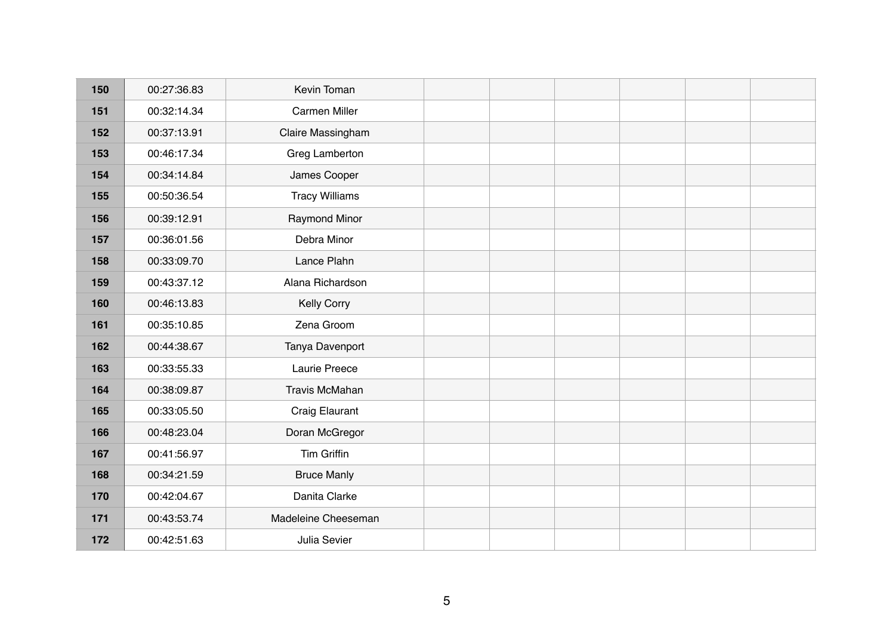| 150 | 00:27:36.83 | Kevin Toman           |  |  |  |
|-----|-------------|-----------------------|--|--|--|
| 151 | 00:32:14.34 | Carmen Miller         |  |  |  |
| 152 | 00:37:13.91 | Claire Massingham     |  |  |  |
| 153 | 00:46:17.34 | Greg Lamberton        |  |  |  |
| 154 | 00:34:14.84 | James Cooper          |  |  |  |
| 155 | 00:50:36.54 | <b>Tracy Williams</b> |  |  |  |
| 156 | 00:39:12.91 | <b>Raymond Minor</b>  |  |  |  |
| 157 | 00:36:01.56 | Debra Minor           |  |  |  |
| 158 | 00:33:09.70 | Lance Plahn           |  |  |  |
| 159 | 00:43:37.12 | Alana Richardson      |  |  |  |
| 160 | 00:46:13.83 | <b>Kelly Corry</b>    |  |  |  |
| 161 | 00:35:10.85 | Zena Groom            |  |  |  |
| 162 | 00:44:38.67 | Tanya Davenport       |  |  |  |
| 163 | 00:33:55.33 | Laurie Preece         |  |  |  |
| 164 | 00:38:09.87 | Travis McMahan        |  |  |  |
| 165 | 00:33:05.50 | <b>Craig Elaurant</b> |  |  |  |
| 166 | 00:48:23.04 | Doran McGregor        |  |  |  |
| 167 | 00:41:56.97 | <b>Tim Griffin</b>    |  |  |  |
| 168 | 00:34:21.59 | <b>Bruce Manly</b>    |  |  |  |
| 170 | 00:42:04.67 | Danita Clarke         |  |  |  |
| 171 | 00:43:53.74 | Madeleine Cheeseman   |  |  |  |
| 172 | 00:42:51.63 | Julia Sevier          |  |  |  |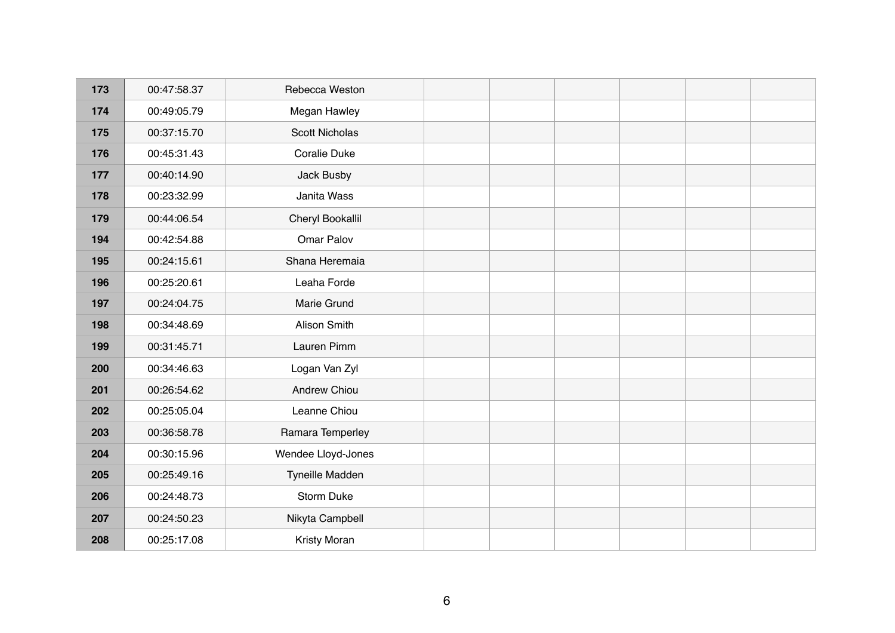| 173 | 00:47:58.37 | Rebecca Weston        |  |  |  |
|-----|-------------|-----------------------|--|--|--|
| 174 | 00:49:05.79 | <b>Megan Hawley</b>   |  |  |  |
| 175 | 00:37:15.70 | <b>Scott Nicholas</b> |  |  |  |
| 176 | 00:45:31.43 | Coralie Duke          |  |  |  |
| 177 | 00:40:14.90 | Jack Busby            |  |  |  |
| 178 | 00:23:32.99 | Janita Wass           |  |  |  |
| 179 | 00:44:06.54 | Cheryl Bookallil      |  |  |  |
| 194 | 00:42:54.88 | Omar Palov            |  |  |  |
| 195 | 00:24:15.61 | Shana Heremaia        |  |  |  |
| 196 | 00:25:20.61 | Leaha Forde           |  |  |  |
| 197 | 00:24:04.75 | Marie Grund           |  |  |  |
| 198 | 00:34:48.69 | Alison Smith          |  |  |  |
| 199 | 00:31:45.71 | Lauren Pimm           |  |  |  |
| 200 | 00:34:46.63 | Logan Van Zyl         |  |  |  |
| 201 | 00:26:54.62 | <b>Andrew Chiou</b>   |  |  |  |
| 202 | 00:25:05.04 | Leanne Chiou          |  |  |  |
| 203 | 00:36:58.78 | Ramara Temperley      |  |  |  |
| 204 | 00:30:15.96 | Wendee Lloyd-Jones    |  |  |  |
| 205 | 00:25:49.16 | Tyneille Madden       |  |  |  |
| 206 | 00:24:48.73 | <b>Storm Duke</b>     |  |  |  |
| 207 | 00:24:50.23 | Nikyta Campbell       |  |  |  |
| 208 | 00:25:17.08 | Kristy Moran          |  |  |  |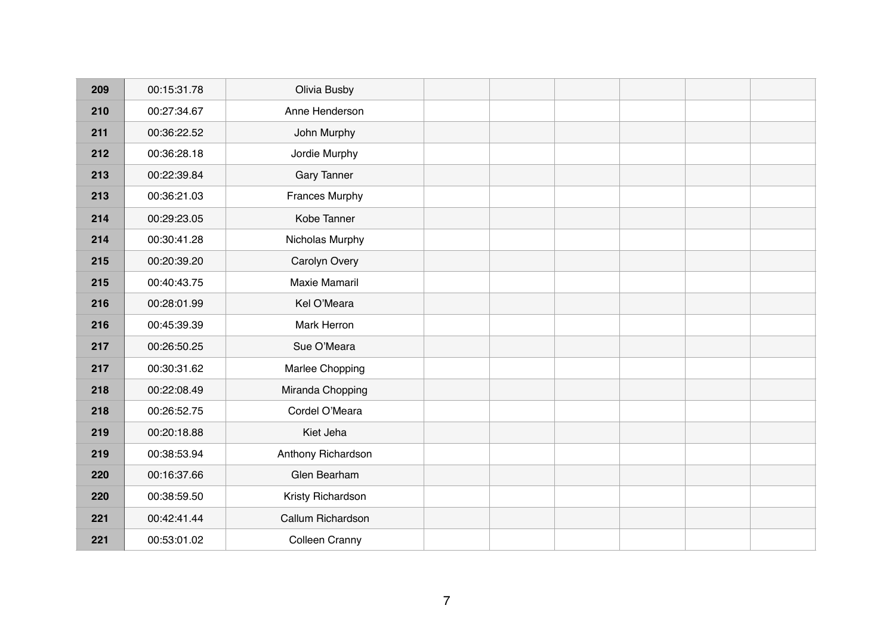| 209 | 00:15:31.78 | Olivia Busby          |  |  |  |
|-----|-------------|-----------------------|--|--|--|
| 210 | 00:27:34.67 | Anne Henderson        |  |  |  |
| 211 | 00:36:22.52 | John Murphy           |  |  |  |
| 212 | 00:36:28.18 | Jordie Murphy         |  |  |  |
| 213 | 00:22:39.84 | <b>Gary Tanner</b>    |  |  |  |
| 213 | 00:36:21.03 | <b>Frances Murphy</b> |  |  |  |
| 214 | 00:29:23.05 | Kobe Tanner           |  |  |  |
| 214 | 00:30:41.28 | Nicholas Murphy       |  |  |  |
| 215 | 00:20:39.20 | Carolyn Overy         |  |  |  |
| 215 | 00:40:43.75 | <b>Maxie Mamaril</b>  |  |  |  |
| 216 | 00:28:01.99 | Kel O'Meara           |  |  |  |
| 216 | 00:45:39.39 | Mark Herron           |  |  |  |
| 217 | 00:26:50.25 | Sue O'Meara           |  |  |  |
| 217 | 00:30:31.62 | Marlee Chopping       |  |  |  |
| 218 | 00:22:08.49 | Miranda Chopping      |  |  |  |
| 218 | 00:26:52.75 | Cordel O'Meara        |  |  |  |
| 219 | 00:20:18.88 | Kiet Jeha             |  |  |  |
| 219 | 00:38:53.94 | Anthony Richardson    |  |  |  |
| 220 | 00:16:37.66 | Glen Bearham          |  |  |  |
| 220 | 00:38:59.50 | Kristy Richardson     |  |  |  |
| 221 | 00:42:41.44 | Callum Richardson     |  |  |  |
| 221 | 00:53:01.02 | <b>Colleen Cranny</b> |  |  |  |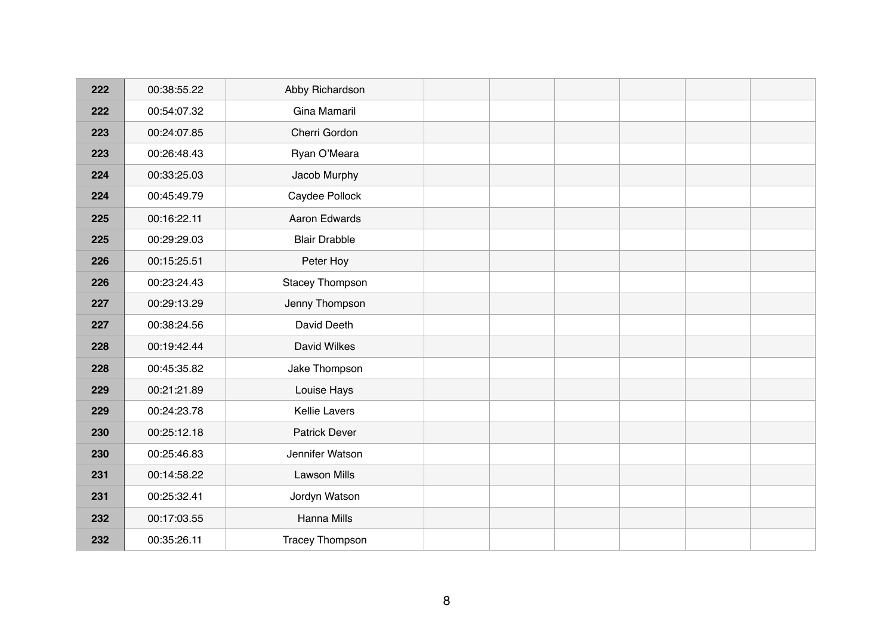| 222 | 00:38:55.22 | Abby Richardson        |  |  |  |
|-----|-------------|------------------------|--|--|--|
| 222 | 00:54:07.32 | Gina Mamaril           |  |  |  |
| 223 | 00:24:07.85 | Cherri Gordon          |  |  |  |
| 223 | 00:26:48.43 | Ryan O'Meara           |  |  |  |
| 224 | 00:33:25.03 | Jacob Murphy           |  |  |  |
| 224 | 00:45:49.79 | Caydee Pollock         |  |  |  |
| 225 | 00:16:22.11 | Aaron Edwards          |  |  |  |
| 225 | 00:29:29.03 | <b>Blair Drabble</b>   |  |  |  |
| 226 | 00:15:25.51 | Peter Hoy              |  |  |  |
| 226 | 00:23:24.43 | Stacey Thompson        |  |  |  |
| 227 | 00:29:13.29 | Jenny Thompson         |  |  |  |
| 227 | 00:38:24.56 | David Deeth            |  |  |  |
| 228 | 00:19:42.44 | David Wilkes           |  |  |  |
| 228 | 00:45:35.82 | Jake Thompson          |  |  |  |
| 229 | 00:21:21.89 | Louise Hays            |  |  |  |
| 229 | 00:24:23.78 | <b>Kellie Lavers</b>   |  |  |  |
| 230 | 00:25:12.18 | <b>Patrick Dever</b>   |  |  |  |
| 230 | 00:25:46.83 | Jennifer Watson        |  |  |  |
| 231 | 00:14:58.22 | <b>Lawson Mills</b>    |  |  |  |
| 231 | 00:25:32.41 | Jordyn Watson          |  |  |  |
| 232 | 00:17:03.55 | Hanna Mills            |  |  |  |
| 232 | 00:35:26.11 | <b>Tracey Thompson</b> |  |  |  |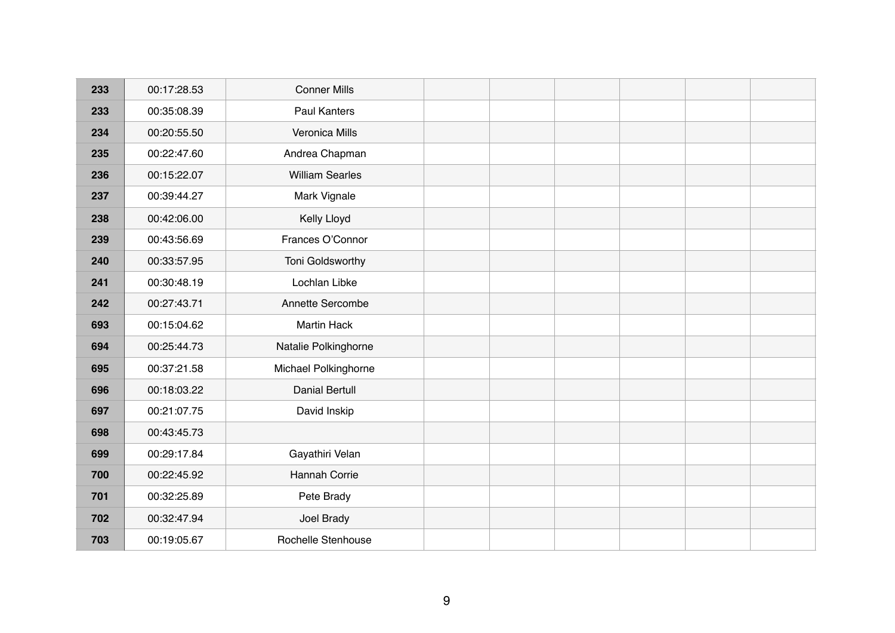| 233 | 00:17:28.53 | <b>Conner Mills</b>    |  |  |  |
|-----|-------------|------------------------|--|--|--|
| 233 | 00:35:08.39 | <b>Paul Kanters</b>    |  |  |  |
| 234 | 00:20:55.50 | Veronica Mills         |  |  |  |
| 235 | 00:22:47.60 | Andrea Chapman         |  |  |  |
| 236 | 00:15:22.07 | <b>William Searles</b> |  |  |  |
| 237 | 00:39:44.27 | Mark Vignale           |  |  |  |
| 238 | 00:42:06.00 | Kelly Lloyd            |  |  |  |
| 239 | 00:43:56.69 | Frances O'Connor       |  |  |  |
| 240 | 00:33:57.95 | Toni Goldsworthy       |  |  |  |
| 241 | 00:30:48.19 | Lochlan Libke          |  |  |  |
| 242 | 00:27:43.71 | Annette Sercombe       |  |  |  |
| 693 | 00:15:04.62 | <b>Martin Hack</b>     |  |  |  |
| 694 | 00:25:44.73 | Natalie Polkinghorne   |  |  |  |
| 695 | 00:37:21.58 | Michael Polkinghorne   |  |  |  |
| 696 | 00:18:03.22 | <b>Danial Bertull</b>  |  |  |  |
| 697 | 00:21:07.75 | David Inskip           |  |  |  |
| 698 | 00:43:45.73 |                        |  |  |  |
| 699 | 00:29:17.84 | Gayathiri Velan        |  |  |  |
| 700 | 00:22:45.92 | Hannah Corrie          |  |  |  |
| 701 | 00:32:25.89 | Pete Brady             |  |  |  |
| 702 | 00:32:47.94 | Joel Brady             |  |  |  |
| 703 | 00:19:05.67 | Rochelle Stenhouse     |  |  |  |